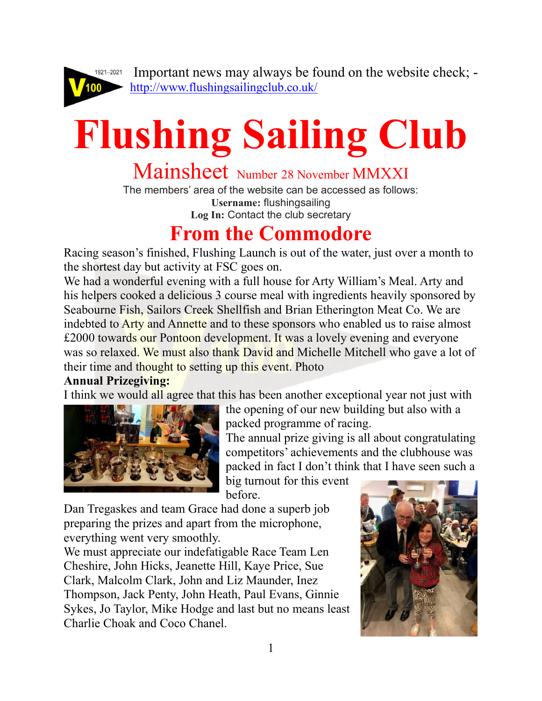

 Important news may always be found on the website check; <http://www.flushingsailingclub.co.uk/>

# **Flushing Sailing Club**

## Mainsheet Number 28 November MMXXI

The members' area of the website can be accessed as follows: **Username:** flushingsailing **Log In:** Contact the club secretary

## **From the Commodore**

Racing season's finished, Flushing Launch is out of the water, just over a month to the shortest day but activity at FSC goes on.

We had a wonderful evening with a full house for Arty William's Meal. Arty and his helpers cooked a delicious 3 course meal with ingredients heavily sponsored by Seabourne Fish, Sailors Creek Shellfish and Brian Etherington Meat Co. We are indebted to **Arty** and Annette and to these sponsors who enabled us to raise almost £2000 towards our Pontoon development. It was a lovely evening and everyone was so relaxed. We must also thank David and Michelle Mitchell who gave a lot of their time and thought to setting up this event. Photo

#### **Annual Prizegiving:**

I think we would all agree that this has been another exceptional year not just with



the opening of our new building but also with a packed programme of racing.

The annual prize giving is all about congratulating competitors' achievements and the clubhouse was packed in fact I don't think that I have seen such a

big turnout for this event before.

Dan Tregaskes and team Grace had done a superb job preparing the prizes and apart from the microphone, everything went very smoothly.

We must appreciate our indefatigable Race Team Len Cheshire, John Hicks, Jeanette Hill, Kaye Price, Sue Clark, Malcolm Clark, John and Liz Maunder, Inez Thompson, Jack Penty, John Heath, Paul Evans, Ginnie Sykes, Jo Taylor, Mike Hodge and last but no means least Charlie Choak and Coco Chanel.

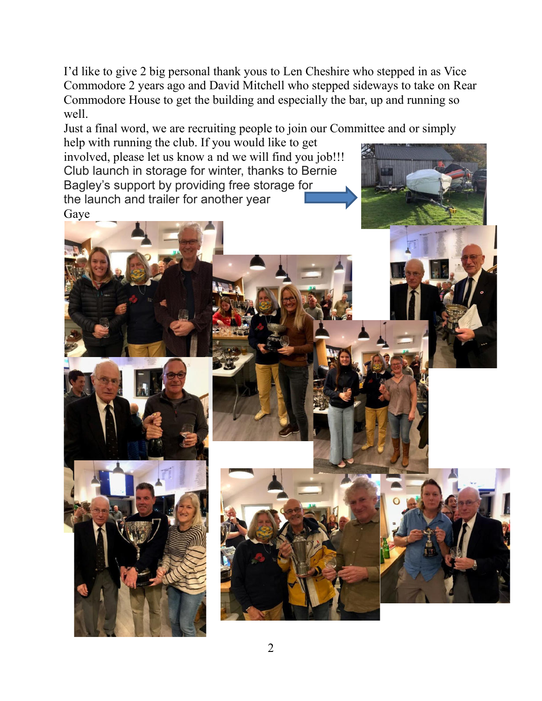I'd like to give 2 big personal thank yous to Len Cheshire who stepped in as Vice Commodore 2 years ago and David Mitchell who stepped sideways to take on Rear Commodore House to get the building and especially the bar, up and running so well.

Just a final word, we are recruiting people to join our Committee and or simply help with running the club. If you would like to get

involved, please let us know a nd we will find you job!!! Club launch in storage for winter, thanks to Bernie Bagley's support by providing free storage for the launch and trailer for another year Gaye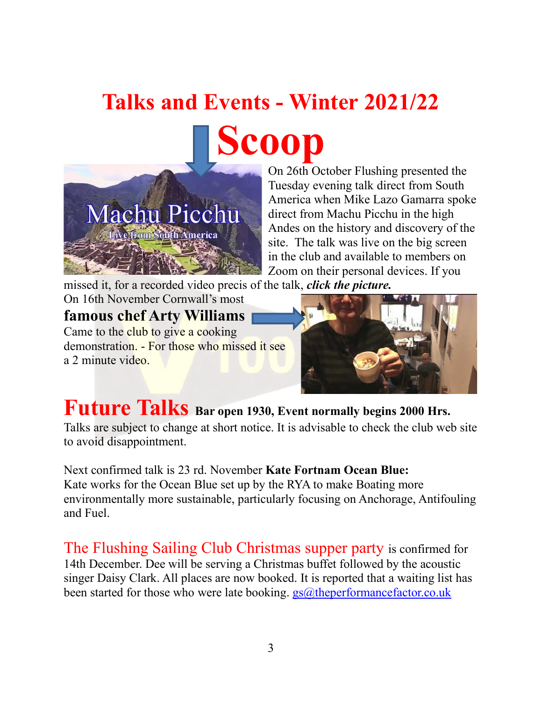## **Talks and Events - Winter 2021/22 [Sco](https://www.youtube.com/embed/dHBcqe3TBcw?feature=oembed)op**



On 26th October Flushing presented the Tuesday evening talk direct from South America when Mike Lazo Gamarra spoke direct from Machu Picchu in the high Andes on the history and discovery of the site. The talk was live on the big screen in the club and available to members on Zoom on their personal devices. If you

missed it, for a recorded video precis of the talk, *click the picture.*

#### On 16th November Cornwall's most **famous chef Arty Williams** Came to the club to give a cooking demonstration. - For those who missed it see a 2 minute video.



## **Future Talks Bar open 1930, Event normally begins 2000 Hrs.**

Talks are subject to change at short notice. It is advisable to check the club web site to avoid disappointment.

Next confirmed talk is 23 rd. November **Kate Fortnam Ocean Blue:** Kate works for the Ocean Blue set up by the RYA to make Boating more environmentally more sustainable, particularly focusing on Anchorage, Antifouling and Fuel.

The Flushing Sailing Club Christmas supper party is confirmed for 14th December. Dee will be serving a Christmas buffet followed by the acoustic singer Daisy Clark. All places are now booked. It is reported that a waiting list has been started for those who were late booking.  $gs@$ theperformancefactor.co.uk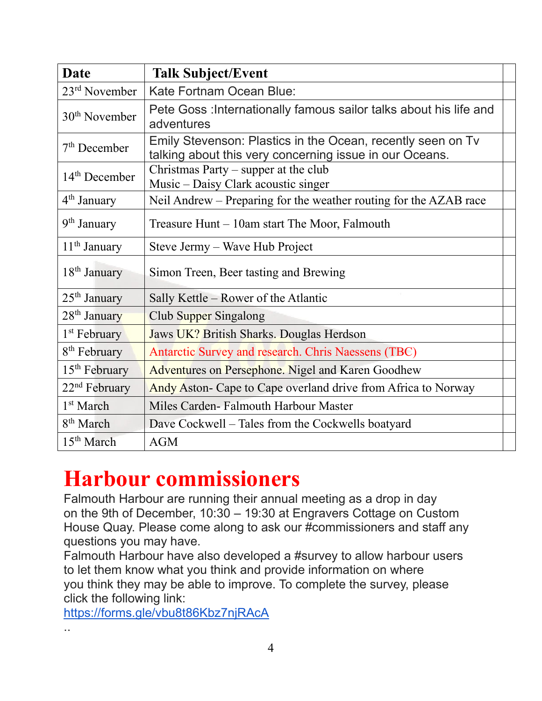| <b>Date</b>              | <b>Talk Subject/Event</b>                                                                                              |  |
|--------------------------|------------------------------------------------------------------------------------------------------------------------|--|
| $23rd$ November          | <b>Kate Fortnam Ocean Blue:</b>                                                                                        |  |
| $30th$ November          | Pete Goss : Internationally famous sailor talks about his life and<br>adventures                                       |  |
| $7th$ December           | Emily Stevenson: Plastics in the Ocean, recently seen on Tv<br>talking about this very concerning issue in our Oceans. |  |
| $14th$ December          | Christmas Party $-$ supper at the club<br>Music – Daisy Clark acoustic singer                                          |  |
| 4 <sup>th</sup> January  | Neil Andrew – Preparing for the weather routing for the AZAB race                                                      |  |
| 9 <sup>th</sup> January  | Treasure Hunt – 10am start The Moor, Falmouth                                                                          |  |
| $11th$ January           | Steve Jermy – Wave Hub Project                                                                                         |  |
| $18th$ January           | Simon Treen, Beer tasting and Brewing                                                                                  |  |
| $25th$ January           | Sally Kettle – Rower of the Atlantic                                                                                   |  |
| 28 <sup>th</sup> January | Club Supper Singalong                                                                                                  |  |
| 1 <sup>st</sup> February | Jaws UK? British Sharks. Douglas Herdson                                                                               |  |
| 8 <sup>th</sup> February | Antarctic Survey and research. Chris Naessens (TBC)                                                                    |  |
| $15th$ February          | Adventures on Persephone. Nigel and Karen Goodhew                                                                      |  |
| $22nd$ February          | Andy Aston- Cape to Cape overland drive from Africa to Norway                                                          |  |
| 1 <sup>st</sup> March    | Miles Carden-Falmouth Harbour Master                                                                                   |  |
| 8 <sup>th</sup> March    | Dave Cockwell – Tales from the Cockwells boatyard                                                                      |  |
| 15 <sup>th</sup> March   | <b>AGM</b>                                                                                                             |  |

## **Harbour commissioners**

Falmouth Harbour are running their annual meeting as a drop in day on the 9th of December, 10:30 – 19:30 at Engravers Cottage on Custom House Quay. Please come along to ask our #commissioners and staff any questions you may have.

Falmouth Harbour have also developed a #survey to allow harbour users to let them know what you think and provide information on where you think they may be able to improve. To complete the survey, please click the following link:

<https://forms.gle/vbu8t86Kbz7njRAcA>

..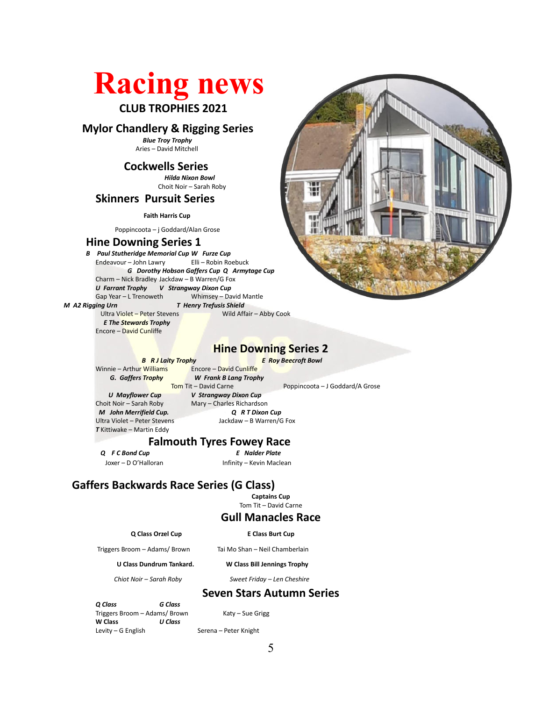## **Racing news CLUB TROPHIES 2021**

#### **Mylor Chandlery & Rigging Series**

*Blue Troy Trophy* Aries – David Mitchell

#### **Cockwells Series**

 *Hilda Nixon Bowl* Choit Noir – Sarah Roby

#### **Skinners Pursuit Series**

**Faith Harris Cup**

Poppincoota – j Goddard/Alan Grose

#### **Hine Downing Series 1**

*B Paul Stutheridge Memorial Cup W Furze Cup*<br>**Endeavour – John Lawry Elli – Robin Roebuck** Endeavour – John Lawry *G Dorothy Hobson Gaffers Cup Q Armytage Cup* Charm – Nick Bradley Jackdaw – B Warren/G Fox *U Farrant Trophy V Strangway Dixon Cup* Gap Year – L Trenoweth Whimsey – David Mantle

*M A2 Rigging Urn T Henry Trefusis Shield*

 Ultra Violet – Peter Stevens Wild Affair – Abby Cook *E The Stewards Trophy* Encore – David Cunliffe



#### **Hine Downing Series 2**

*B R J Laity Trophy E Roy Beecroft Bowl* 

 Winnie – Arthur Williams Encore – David Cunliffe *G. Gaffers Trophy W Frank B Lang Trophy*<br>Tom Tit – David Carne Tom Tit – David Carne Poppincoota – J Goddard/A Grose<br>
V Strangway Dixon Cup<br>
V Theory Dixon Cup

*U Mayflower Cup V Strangway Dixon Cup*<br>Choit Noir – Sarah Roby Mary – Charles Richardsc *M John Merrifield Cup. Q R T Dixon Cup T* Kittiwake – Martin Eddy

Mary – Charles Richardson Ultra Violet – Peter Stevens Jackdaw – B Warren/G Fox

## **Falmouth Tyres Fowey Race**

 *Q F C Bond Cup E Nalder Plate*

Joxer – D O'Halloran Infinity – Kevin Maclean

#### **Gaffers Backwards Race Series (G Class)**

**Captains Cup**

Tom Tit – David Carne

#### **Gull Manacles Race**

#### **Q Class Orzel Cup E Class Burt Cup**

Triggers Broom – Adams/ Brown Tai Mo Shan – Neil Chamberlain

#### **U Class Dundrum Tankard. W Class Bill Jennings Trophy**

*Chiot Noir – Sarah Roby Sweet Friday – Len Cheshire*

#### **Seven Stars Autumn Series**

*Q Class**G Class* Triggers Broom – Adams/ Brown Katy – Sue Grigg **W Class** *U Class*

Serena – Peter Knight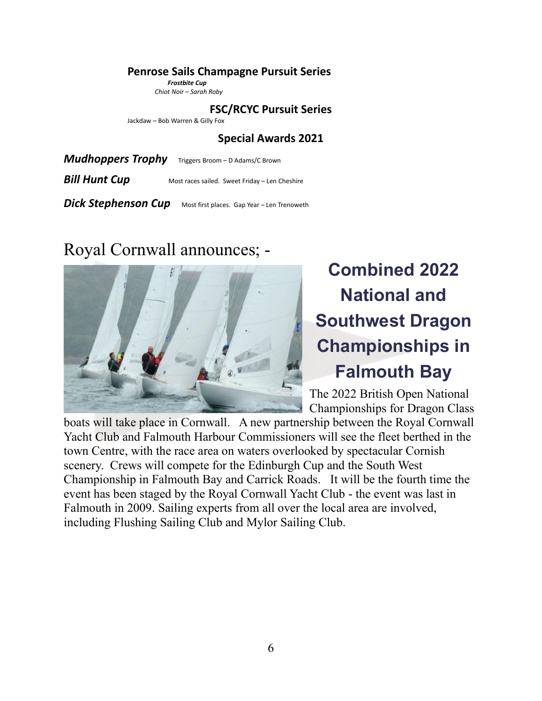#### **Penrose Sails Champagne Pursuit Series**

 *Frostbite Cup Chiot Noir – Sarah Roby*

**FSC/RCYC Pursuit Series**

Jackdaw – Bob Warren & Gilly Fox

**Special Awards 2021**

*Mudhoppers Trophy* Triggers Broom – D Adams/C Brown

**Bill Hunt Cup** Most races sailed. Sweet Friday – Len Cheshire

**Dick Stephenson Cup** Most first places. Gap Year – Len Trenoweth

### Royal Cornwall announces; -



## **Combined 2022 National and Southwest Dragon Championships in Falmouth Bay**

The 2022 British Open National Championships for Dragon Class

boats will take place in Cornwall. A new partnership between the Royal Cornwall Yacht Club and Falmouth Harbour Commissioners will see the fleet berthed in the town Centre, with the race area on waters overlooked by spectacular Cornish scenery. Crews will compete for the Edinburgh Cup and the South West Championship in Falmouth Bay and Carrick Roads. It will be the fourth time the event has been staged by the Royal Cornwall Yacht Club - the event was last in Falmouth in 2009. Sailing experts from all over the local area are involved, including Flushing Sailing Club and Mylor Sailing Club.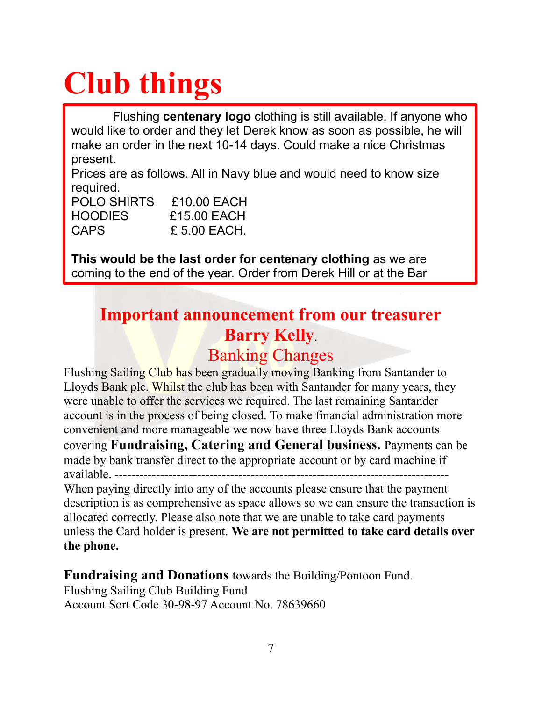## **Club things**

Flushing **centenary logo** clothing is still available. If anyone who would like to order and they let Derek know as soon as possible, he will make an order in the next 10-14 days. Could make a nice Christmas present.

Prices are as follows. All in Navy blue and would need to know size required.

| <b>POLO SHIRTS</b> | £10.00 EACH    |
|--------------------|----------------|
| <b>HOODIES</b>     | £15.00 EACH    |
| <b>CAPS</b>        | $£ 5.00$ EACH. |

**This would be the last order for centenary clothing** as we are coming to the end of the year. Order from Derek Hill or at the Bar

### **Important announcement from our treasurer Barry Kelly**. Banking Changes

Flushing Sailing Club has been gradually moving Banking from Santander to Lloyds Bank plc. Whilst the club has been with Santander for many years, they were unable to offer the services we required. The last remaining Santander account is in the process of being closed. To make financial administration more convenient and more manageable we now have three Lloyds Bank accounts covering **Fundraising, Catering and General business.** Payments can be made by bank transfer direct to the appropriate account or by card machine if available ---

When paying directly into any of the accounts please ensure that the payment description is as comprehensive as space allows so we can ensure the transaction is allocated correctly. Please also note that we are unable to take card payments unless the Card holder is present. **We are not permitted to take card details over the phone.**

**Fundraising and Donations** towards the Building/Pontoon Fund. Flushing Sailing Club Building Fund Account Sort Code 30-98-97 Account No. 78639660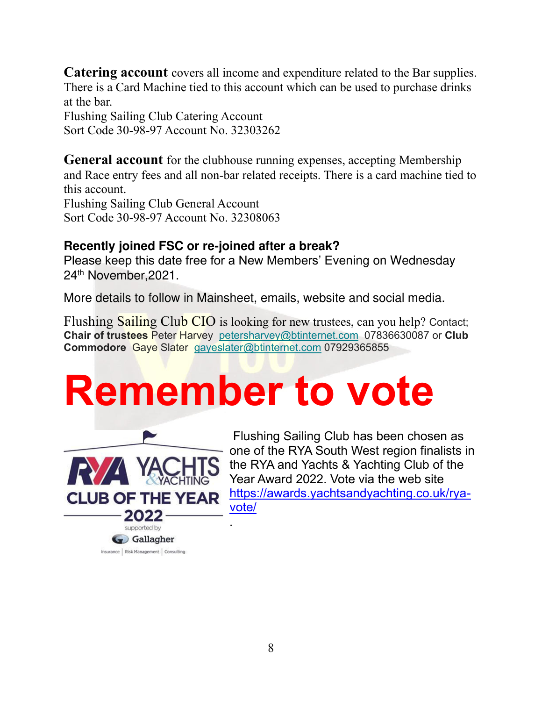**Catering account** covers all income and expenditure related to the Bar supplies. There is a Card Machine tied to this account which can be used to purchase drinks at the bar.

Flushing Sailing Club Catering Account Sort Code 30-98-97 Account No. 32303262

**General account** for the clubhouse running expenses, accepting Membership and Race entry fees and all non-bar related receipts. There is a card machine tied to this account.

Flushing Sailing Club General Account Sort Code 30-98-97 Account No. 32308063

#### **Recently joined FSC or re-joined after a break?**

Please keep this date free for a New Members' Evening on Wednesday 24th November,2021.

More details to follow in Mainsheet, emails, website and social media.

Flushing Sailing Club CIO is looking for new trustees, can you help? Contact; **Chair of trustees** Peter Harvey [petersharvey@btinternet.com](mailto:petersharvey@btinternet.com) 07836630087 or **Club Commodore** Gaye Slater [gayeslater@btinternet.com](mailto:gayeslater@btinternet.com) 07929365855

## **Remember to vote**



 Flushing Sailing Club has been chosen as one of the RYA South West region finalists in the RYA and Yachts & Yachting Club of the Year Award 2022. Vote via the web site [https://awards.yachtsandyachting.co.uk/rya](https://awards.yachtsandyachting.co.uk/rya-vote/)[vote/](https://awards.yachtsandyachting.co.uk/rya-vote/)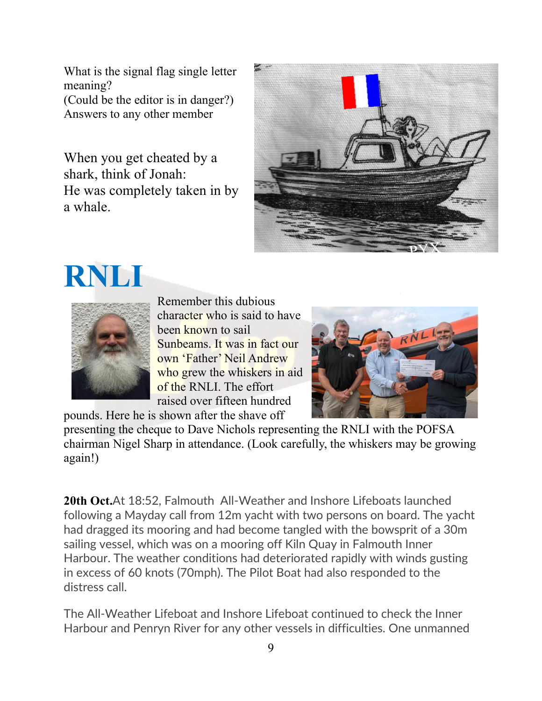What is the signal flag single letter meaning? (Could be the editor is in danger?) Answers to any other member

When you get cheated by a shark, think of Jonah: He was completely taken in by a whale.







Remember this dubious character who is said to have been known to sail Sunbeams. It was in fact our own 'Father' Neil Andrew who grew the whiskers in aid of the RNLI. The effort raised over fifteen hundred pounds. Here he is shown after the shave off



presenting the cheque to Dave Nichols representing the RNLI with the POFSA chairman Nigel Sharp in attendance. (Look carefully, the whiskers may be growing again!)

**20th Oct.**At 18:52, Falmouth All-Weather and Inshore Lifeboats launched following a Mayday call from 12m yacht with two persons on board. The yacht had dragged its mooring and had become tangled with the bowsprit of a 30m sailing vessel, which was on a mooring off Kiln Quay in Falmouth Inner Harbour. The weather conditions had deteriorated rapidly with winds gusting in excess of 60 knots (70mph). The Pilot Boat had also responded to the distress call.

The All-Weather Lifeboat and Inshore Lifeboat continued to check the Inner Harbour and Penryn River for any other vessels in difficulties. One unmanned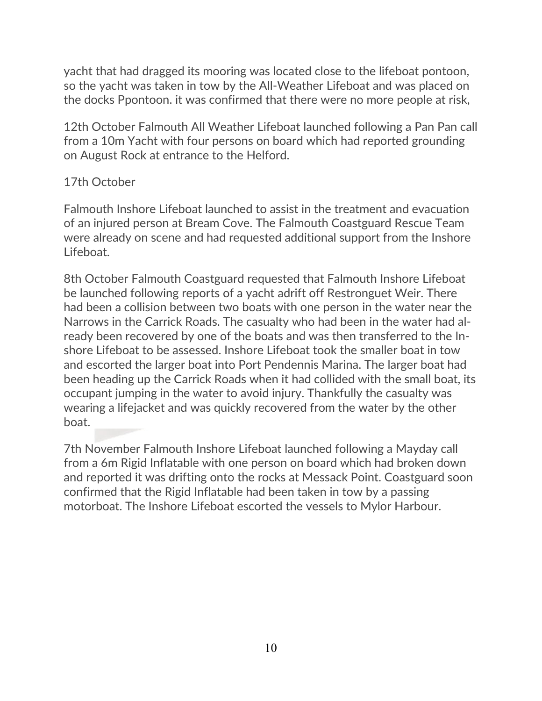yacht that had dragged its mooring was located close to the lifeboat pontoon, so the yacht was taken in tow by the All-Weather Lifeboat and was placed on the docks Ppontoon. it was confirmed that there were no more people at risk,

12th October Falmouth All Weather Lifeboat launched following a Pan Pan call from a 10m Yacht with four persons on board which had reported grounding on August Rock at entrance to the Helford.

#### 17th October

Falmouth Inshore Lifeboat launched to assist in the treatment and evacuation of an injured person at Bream Cove. The Falmouth Coastguard Rescue Team were already on scene and had requested additional support from the Inshore Lifeboat.

8th October Falmouth Coastguard requested that Falmouth Inshore Lifeboat be launched following reports of a yacht adrift off Restronguet Weir. There had been a collision between two boats with one person in the water near the Narrows in the Carrick Roads. The casualty who had been in the water had already been recovered by one of the boats and was then transferred to the Inshore Lifeboat to be assessed. Inshore Lifeboat took the smaller boat in tow and escorted the larger boat into Port Pendennis Marina. The larger boat had been heading up the Carrick Roads when it had collided with the small boat, its occupant jumping in the water to avoid injury. Thankfully the casualty was wearing a lifejacket and was quickly recovered from the water by the other boat.

7th November Falmouth Inshore Lifeboat launched following a Mayday call from a 6m Rigid Inflatable with one person on board which had broken down and reported it was drifting onto the rocks at Messack Point. Coastguard soon confirmed that the Rigid Inflatable had been taken in tow by a passing motorboat. The Inshore Lifeboat escorted the vessels to Mylor Harbour.